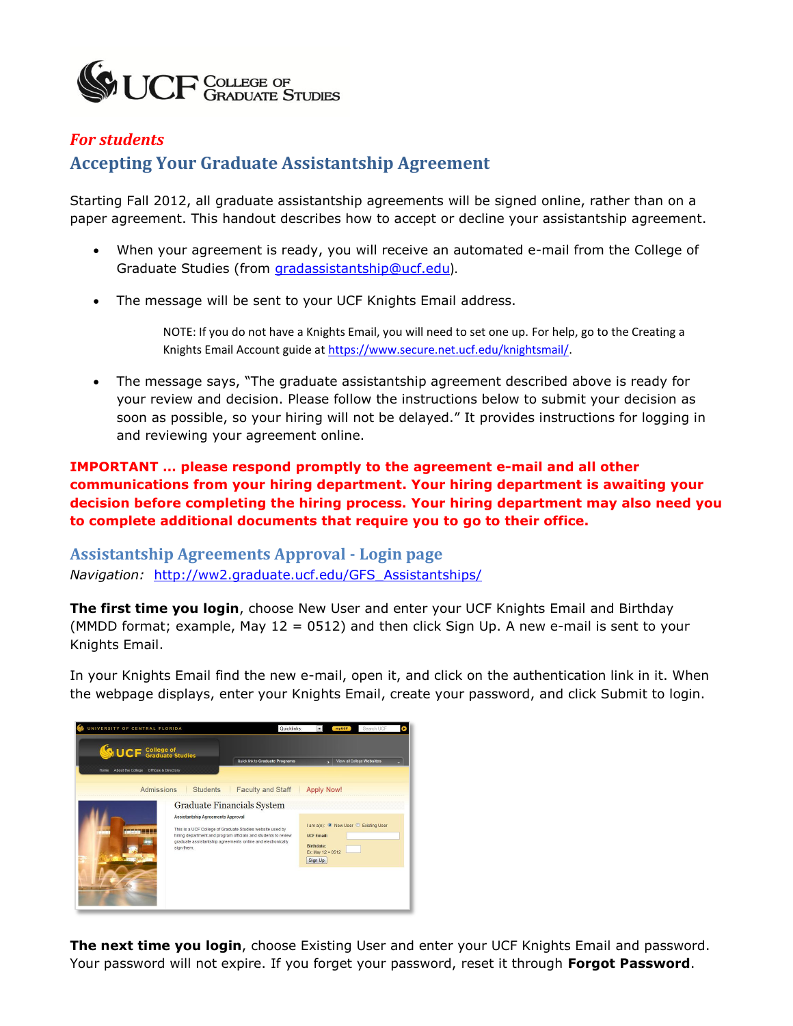

## *For students* **Accepting Your Graduate Assistantship Agreement**

Starting Fall 2012, all graduate assistantship agreements will be signed online, rather than on a paper agreement. This handout describes how to accept or decline your assistantship agreement.

- When your agreement is ready, you will receive an automated e-mail from the College of Graduate Studies (from [gradassistantship@ucf.edu](mailto:gradassistantship@ucf.edu)).
- The message will be sent to your UCF Knights Email address.

NOTE: If you do not have a Knights Email, you will need to set one up. For help, go to the Creating a Knights Email Account guide a[t https://www.secure.net.ucf.edu/knightsmail/.](https://www.secure.net.ucf.edu/knightsmail/)

 The message says, "The graduate assistantship agreement described above is ready for your review and decision. Please follow the instructions below to submit your decision as soon as possible, so your hiring will not be delayed." It provides instructions for logging in and reviewing your agreement online.

**IMPORTANT … please respond promptly to the agreement e-mail and all other communications from your hiring department. Your hiring department is awaiting your decision before completing the hiring process. Your hiring department may also need you to complete additional documents that require you to go to their office.** 

**Assistantship Agreements Approval - Login page** *Navigation:* [http://ww2.graduate.ucf.edu/GFS\\_Assistantships/](http://ww2.graduate.ucf.edu/GFS_Assistantships/)

**The first time you login**, choose New User and enter your UCF Knights Email and Birthday (MMDD format; example, May 12 = 0512) and then click Sign Up. A new e-mail is sent to your Knights Email.

In your Knights Email find the new e-mail, open it, and click on the authentication link in it. When the webpage displays, enter your Knights Email, create your password, and click Submit to login.



**The next time you login**, choose Existing User and enter your UCF Knights Email and password. Your password will not expire. If you forget your password, reset it through **Forgot Password**.